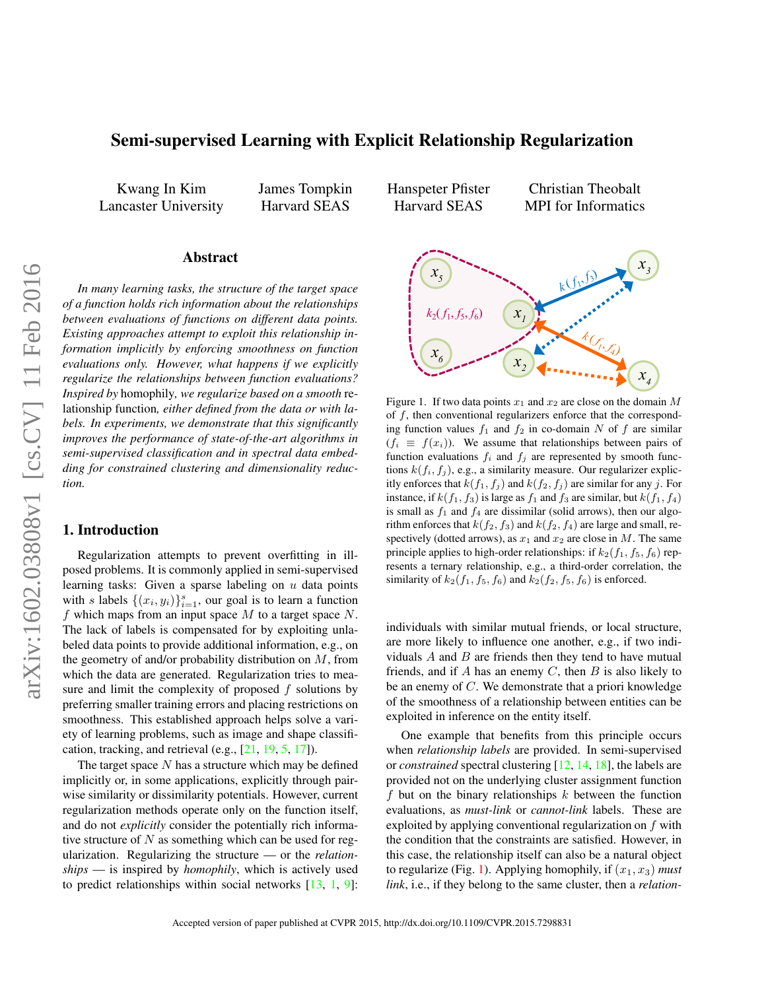# <span id="page-0-1"></span>Semi-supervised Learning with Explicit Relationship Regularization

Kwang In Kim Lancaster University James Tompkin Harvard SEAS

Hanspeter Pfister Harvard SEAS

Christian Theobalt MPI for Informatics



<span id="page-0-0"></span>Figure 1. If two data points  $x_1$  and  $x_2$  are close on the domain M of f, then conventional regularizers enforce that the corresponding function values  $f_1$  and  $f_2$  in co-domain N of f are similar  $(f_i \equiv f(x_i))$ . We assume that relationships between pairs of function evaluations  $f_i$  and  $f_j$  are represented by smooth functions  $k(f_i, f_j)$ , e.g., a similarity measure. Our regularizer explicitly enforces that  $k(f_1, f_i)$  and  $k(f_2, f_i)$  are similar for any j. For instance, if  $k(f_1, f_3)$  is large as  $f_1$  and  $f_3$  are similar, but  $k(f_1, f_4)$ is small as  $f_1$  and  $f_4$  are dissimilar (solid arrows), then our algorithm enforces that  $k(f_2, f_3)$  and  $k(f_2, f_4)$  are large and small, respectively (dotted arrows), as  $x_1$  and  $x_2$  are close in M. The same principle applies to high-order relationships: if  $k_2(f_1, f_5, f_6)$  represents a ternary relationship, e.g., a third-order correlation, the similarity of  $k_2(f_1, f_5, f_6)$  and  $k_2(f_2, f_5, f_6)$  is enforced.

individuals with similar mutual friends, or local structure, are more likely to influence one another, e.g., if two individuals  $A$  and  $B$  are friends then they tend to have mutual friends, and if  $A$  has an enemy  $C$ , then  $B$  is also likely to be an enemy of  $C$ . We demonstrate that a priori knowledge of the smoothness of a relationship between entities can be exploited in inference on the entity itself.

One example that benefits from this principle occurs when *relationship labels* are provided. In semi-supervised or *constrained* spectral clustering [\[12,](#page-9-7) [14,](#page-9-8) [18\]](#page-9-9), the labels are provided not on the underlying cluster assignment function f but on the binary relationships  $k$  between the function evaluations, as *must-link* or *cannot-link* labels. These are exploited by applying conventional regularization on f with the condition that the constraints are satisfied. However, in this case, the relationship itself can also be a natural object to regularize (Fig. [1\)](#page-0-0). Applying homophily, if  $(x_1, x_3)$  *must link*, i.e., if they belong to the same cluster, then a *relation-*

# Abstract

*In many learning tasks, the structure of the target space of a function holds rich information about the relationships between evaluations of functions on different data points. Existing approaches attempt to exploit this relationship information implicitly by enforcing smoothness on function evaluations only. However, what happens if we explicitly regularize the relationships between function evaluations? Inspired by* homophily*, we regularize based on a smooth* relationship function*, either defined from the data or with labels. In experiments, we demonstrate that this significantly improves the performance of state-of-the-art algorithms in semi-supervised classification and in spectral data embedding for constrained clustering and dimensionality reduction.*

# 1. Introduction

Regularization attempts to prevent overfitting in illposed problems. It is commonly applied in semi-supervised learning tasks: Given a sparse labeling on  $u$  data points with s labels  $\{(x_i, y_i)\}_{i=1}^s$ , our goal is to learn a function f which maps from an input space  $M$  to a target space  $N$ . The lack of labels is compensated for by exploiting unlabeled data points to provide additional information, e.g., on the geometry of and/or probability distribution on  $M$ , from which the data are generated. Regularization tries to measure and limit the complexity of proposed  $f$  solutions by preferring smaller training errors and placing restrictions on smoothness. This established approach helps solve a variety of learning problems, such as image and shape classification, tracking, and retrieval (e.g., [\[21,](#page-9-0) [19,](#page-9-1) [5,](#page-9-2) [17\]](#page-9-3)).

The target space  $N$  has a structure which may be defined implicitly or, in some applications, explicitly through pairwise similarity or dissimilarity potentials. However, current regularization methods operate only on the function itself, and do not *explicitly* consider the potentially rich informative structure of  $N$  as something which can be used for regularization. Regularizing the structure — or the *relationships* — is inspired by *homophily*, which is actively used to predict relationships within social networks [\[13,](#page-9-4) [1,](#page-9-5) [9\]](#page-9-6):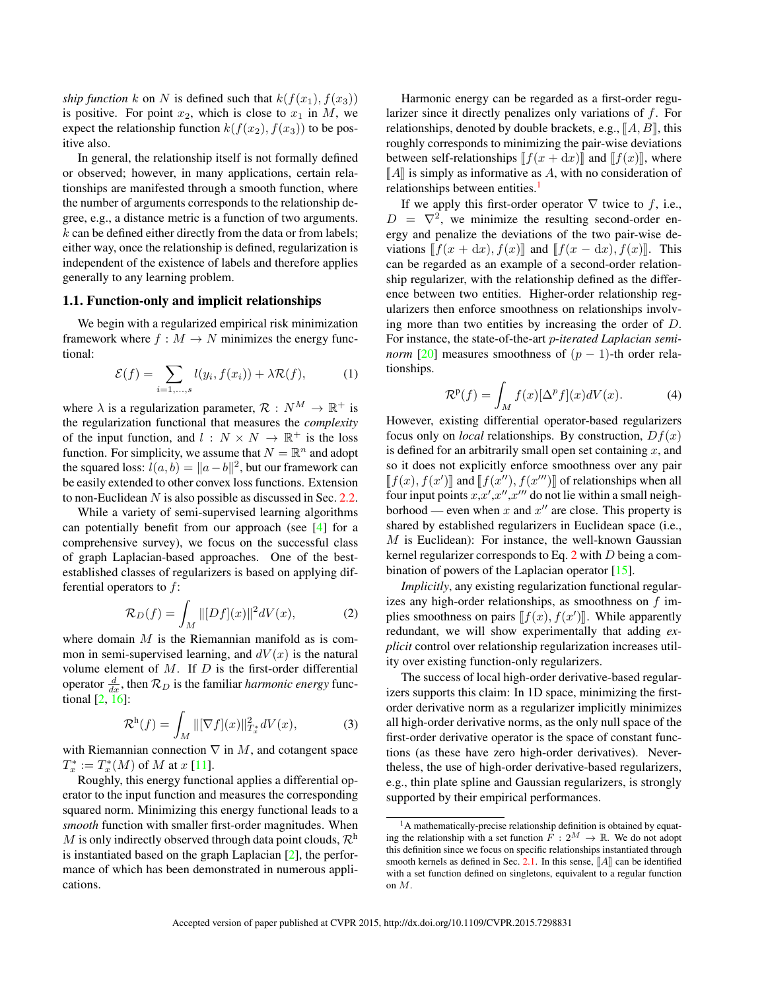<span id="page-1-6"></span>*ship function* k on N is defined such that  $k(f(x_1), f(x_3))$ is positive. For point  $x_2$ , which is close to  $x_1$  in M, we expect the relationship function  $k(f(x_2), f(x_3))$  to be positive also.

In general, the relationship itself is not formally defined or observed; however, in many applications, certain relationships are manifested through a smooth function, where the number of arguments corresponds to the relationship degree, e.g., a distance metric is a function of two arguments.  $k$  can be defined either directly from the data or from labels; either way, once the relationship is defined, regularization is independent of the existence of labels and therefore applies generally to any learning problem.

### <span id="page-1-5"></span>1.1. Function-only and implicit relationships

We begin with a regularized empirical risk minimization framework where  $f : M \to N$  minimizes the energy functional:

$$
\mathcal{E}(f) = \sum_{i=1,\dots,s} l(y_i, f(x_i)) + \lambda \mathcal{R}(f),\tag{1}
$$

where  $\lambda$  is a regularization parameter,  $\mathcal{R}: N^M \to \mathbb{R}^+$  is the regularization functional that measures the *complexity* of the input function, and  $l : N \times N \to \mathbb{R}^+$  is the loss function. For simplicity, we assume that  $N = \mathbb{R}^n$  and adopt the squared loss:  $l(a, b) = ||a - b||^2$ , but our framework can be easily extended to other convex loss functions. Extension to non-Euclidean N is also possible as discussed in Sec. [2.2.](#page-2-0)

While a variety of semi-supervised learning algorithms can potentially benefit from our approach (see [\[4\]](#page-9-10) for a comprehensive survey), we focus on the successful class of graph Laplacian-based approaches. One of the bestestablished classes of regularizers is based on applying differential operators to f:

$$
\mathcal{R}_D(f) = \int_M \|[Df](x)\|^2 dV(x),\tag{2}
$$

where domain  $M$  is the Riemannian manifold as is common in semi-supervised learning, and  $dV(x)$  is the natural volume element of  $M$ . If  $D$  is the first-order differential operator  $\frac{d}{dx}$ , then  $\mathcal{R}_D$  is the familiar *harmonic energy* functional [\[2,](#page-9-11) [16\]](#page-9-12):

$$
\mathcal{R}^{\mathsf{h}}(f) = \int_{M} \|\nabla f](x)\|_{T_x^*}^2 dV(x),\tag{3}
$$

with Riemannian connection  $\nabla$  in M, and cotangent space  $T_x^* := T_x^*(M)$  of M at  $x$  [\[11\]](#page-9-13).

Roughly, this energy functional applies a differential operator to the input function and measures the corresponding squared norm. Minimizing this energy functional leads to a *smooth* function with smaller first-order magnitudes. When M is only indirectly observed through data point clouds,  $\mathcal{R}^h$ is instantiated based on the graph Laplacian [\[2\]](#page-9-11), the performance of which has been demonstrated in numerous applications.

Harmonic energy can be regarded as a first-order regularizer since it directly penalizes only variations of f. For relationships, denoted by double brackets, e.g.,  $\llbracket A, B \rrbracket$ , this roughly corresponds to minimizing the pair-wise deviations between self-relationships  $\llbracket f(x + dx) \rrbracket$  and  $\llbracket f(x) \rrbracket$ , where  $\llbracket A \rrbracket$  is simply as informative as A, with no consideration of relationships between entities.<sup>[1](#page-1-0)</sup>

If we apply this first-order operator  $\nabla$  twice to f, i.e.,  $D = \nabla^2$ , we minimize the resulting second-order energy and penalize the deviations of the two pair-wise deviations  $[[f(x + dx), f(x)]]$  and  $[[f(x - dx), f(x)]]$ . This can be regarded as an example of a second-order relationship regularizer, with the relationship defined as the difference between two entities. Higher-order relationship regularizers then enforce smoothness on relationships involving more than two entities by increasing the order of D. For instance, the state-of-the-art p-*iterated Laplacian seminorm* [\[20\]](#page-9-14) measures smoothness of  $(p - 1)$ -th order relationships.

<span id="page-1-3"></span>
$$
\mathcal{R}^{\mathbf{p}}(f) = \int_{M} f(x)[\Delta^{p} f](x)dV(x). \tag{4}
$$

<span id="page-1-4"></span>However, existing differential operator-based regularizers focus only on *local* relationships. By construction,  $Df(x)$ is defined for an arbitrarily small open set containing  $x$ , and so it does not explicitly enforce smoothness over any pair  $[[f(x), f(x')]$  and  $[[f(x''), f(x'')]$  of relationships when all<br>four input points  $x x' x''$  all do not lie within a small point. four input points  $x, x', x''', x'''$  do not lie within a small neighborhood — even when x and  $x''$  are close. This property is shared by established regularizers in Euclidean space (i.e., M is Euclidean): For instance, the well-known Gaussian kernel regularizer corresponds to Eq. [2](#page-1-1) with  $D$  being a com-bination of powers of the Laplacian operator [\[15\]](#page-9-15).

<span id="page-1-1"></span>*Implicitly*, any existing regularization functional regularizes any high-order relationships, as smoothness on  $f$  implies smoothness on pairs  $[[f(x), f(x')]$ . While apparently<br>redundent, we will show experimentally that adding an redundant, we will show experimentally that adding *explicit* control over relationship regularization increases utility over existing function-only regularizers.

<span id="page-1-2"></span>The success of local high-order derivative-based regularizers supports this claim: In 1D space, minimizing the firstorder derivative norm as a regularizer implicitly minimizes all high-order derivative norms, as the only null space of the first-order derivative operator is the space of constant functions (as these have zero high-order derivatives). Nevertheless, the use of high-order derivative-based regularizers, e.g., thin plate spline and Gaussian regularizers, is strongly supported by their empirical performances.

<span id="page-1-0"></span> $<sup>1</sup>A$  mathematically-precise relationship definition is obtained by equat-</sup> ing the relationship with a set function  $\overline{F}$  :  $2^M \rightarrow \mathbb{R}$ . We do not adopt this definition since we focus on specific relationships instantiated through smooth kernels as defined in Sec. [2.1.](#page-2-1) In this sense,  $\llbracket A \rrbracket$  can be identified with a set function defined on singletons, equivalent to a regular function on M.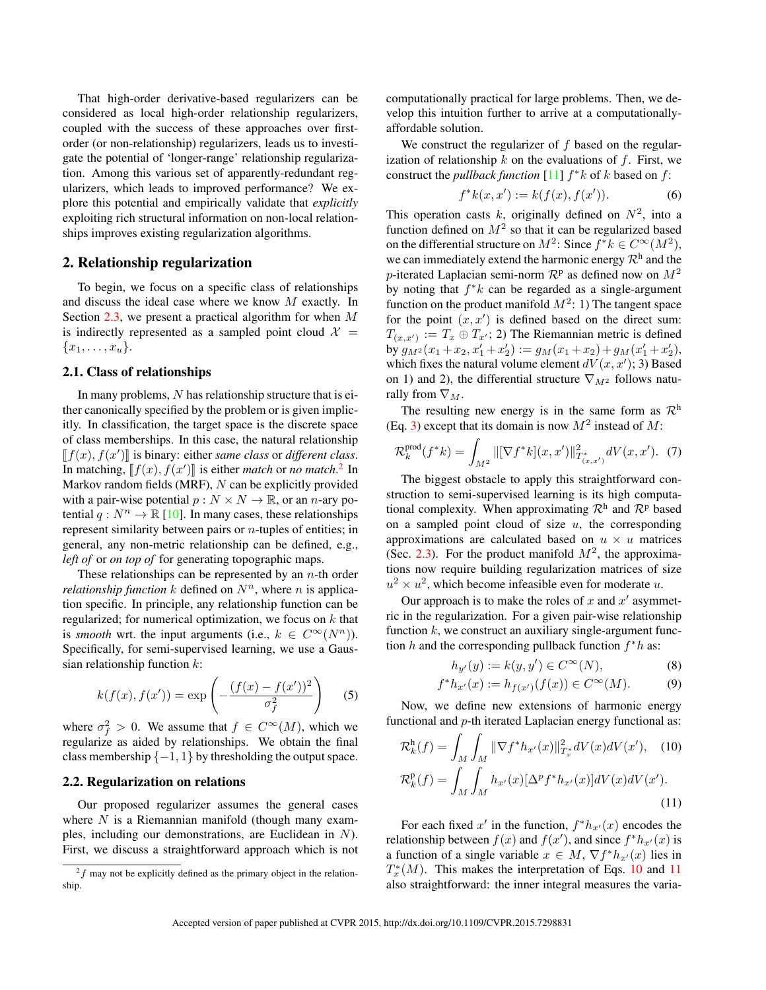<span id="page-2-6"></span>That high-order derivative-based regularizers can be considered as local high-order relationship regularizers, coupled with the success of these approaches over firstorder (or non-relationship) regularizers, leads us to investigate the potential of 'longer-range' relationship regularization. Among this various set of apparently-redundant regularizers, which leads to improved performance? We explore this potential and empirically validate that *explicitly* exploiting rich structural information on non-local relationships improves existing regularization algorithms.

#### 2. Relationship regularization

To begin, we focus on a specific class of relationships and discuss the ideal case where we know M exactly. In Section [2.3,](#page-3-0) we present a practical algorithm for when M is indirectly represented as a sampled point cloud  $\mathcal{X} =$  ${x_1, \ldots, x_u}.$ 

#### <span id="page-2-1"></span>2.1. Class of relationships

In many problems, N has relationship structure that is either canonically specified by the problem or is given implicitly. In classification, the target space is the discrete space of class memberships. In this case, the natural relationship  $[[f(x), f(x')]$  is binary: either *same class* or *different class*.<br>In matching  $[[f(x), f(x')]$  is either match or no match <sup>2</sup>. In In matching,  $[[f(x), f(x')]$  is either *match* or *no match*.<sup>[2](#page-2-2)</sup> In<br>Markov random fields (MPE), N can be explicitly provided Markov random fields (MRF), N can be explicitly provided with a pair-wise potential  $p : N \times N \to \mathbb{R}$ , or an *n*-ary potential  $q: N^n \to \mathbb{R}$  [\[10\]](#page-9-16). In many cases, these relationships represent similarity between pairs or n-tuples of entities; in general, any non-metric relationship can be defined, e.g., *left of* or *on top of* for generating topographic maps.

These relationships can be represented by an  $n$ -th order *relationship function* k defined on  $N<sup>n</sup>$ , where n is application specific. In principle, any relationship function can be regularized; for numerical optimization, we focus on  $k$  that is *smooth* wrt. the input arguments (i.e.,  $k \in C^{\infty}(N^n)$ ). Specifically, for semi-supervised learning, we use a Gaussian relationship function  $k$ :

$$
k(f(x), f(x')) = \exp\left(-\frac{(f(x) - f(x'))^2}{\sigma_f^2}\right) \tag{5}
$$

where  $\sigma_f^2 > 0$ . We assume that  $f \in C^{\infty}(M)$ , which we regularize as aided by relationships. We obtain the final class membership  $\{-1, 1\}$  by thresholding the output space.

# <span id="page-2-0"></span>2.2. Regularization on relations

Our proposed regularizer assumes the general cases where  $N$  is a Riemannian manifold (though many examples, including our demonstrations, are Euclidean in  $N$ ). First, we discuss a straightforward approach which is not computationally practical for large problems. Then, we develop this intuition further to arrive at a computationallyaffordable solution.

We construct the regularizer of  $f$  based on the regularization of relationship  $k$  on the evaluations of  $f$ . First, we construct the *pullback function* [\[11\]](#page-9-13)  $f^*k$  of  $k$  based on  $f$ :

$$
f^*k(x, x') := k(f(x), f(x')).
$$
 (6)

This operation casts k, originally defined on  $N^2$ , into a function defined on  $M^2$  so that it can be regularized based on the differential structure on  $M^2$ : Since  $f^*k \in C^\infty(M^2)$ , we can immediately extend the harmonic energy  $\mathcal{R}^h$  and the p-iterated Laplacian semi-norm  $\mathcal{R}^p$  as defined now on  $M^2$ by noting that  $f^*k$  can be regarded as a single-argument function on the product manifold  $M^2$ : 1) The tangent space for the point  $(x, x')$  is defined based on the direct sum:  $T(x,x') := T_x \oplus T_{x'}$ ; 2) The Riemannian metric is defined by  $g_{M^2}(x_1+x_2, x_1'+x_2') := g_M(x_1+x_2) + g_M(x_1'+x_2'),$ which fixes the natural volume element  $dV(x, x')$ ; 3) Based on 1) and 2), the differential structure  $\nabla_{M^2}$  follows naturally from  $\nabla_M$ .

The resulting new energy is in the same form as  $\mathcal{R}^h$ (Eq. [3\)](#page-1-2) except that its domain is now  $M^2$  instead of M:

$$
\mathcal{R}_k^{\text{prod}}(f^*k) = \int_{M^2} ||[\nabla f^*k](x, x')||^2_{T^*_{(x, x')}} dV(x, x'). \tag{7}
$$

The biggest obstacle to apply this straightforward construction to semi-supervised learning is its high computational complexity. When approximating  $\mathcal{R}^{\text{h}}$  and  $\mathcal{R}^{\text{p}}$  based on a sampled point cloud of size  $u$ , the corresponding approximations are calculated based on  $u \times u$  matrices (Sec. [2.3\)](#page-3-0). For the product manifold  $M^2$ , the approximations now require building regularization matrices of size  $u^2 \times u^2$ , which become infeasible even for moderate u.

Our approach is to make the roles of  $x$  and  $x'$  asymmetric in the regularization. For a given pair-wise relationship function  $k$ , we construct an auxiliary single-argument function h and the corresponding pullback function  $f^*h$  as:

<span id="page-2-4"></span><span id="page-2-3"></span>
$$
h_{y'}(y) := k(y, y') \in C^{\infty}(N),\tag{8}
$$

$$
f^*h_{x'}(x) := h_{f(x')}(f(x)) \in C^{\infty}(M). \tag{9}
$$

<span id="page-2-5"></span>Now, we define new extensions of harmonic energy functional and  $p$ -th iterated Laplacian energy functional as:

$$
\mathcal{R}_{k}^{\mathrm{h}}(f) = \int_{M} \int_{M} \|\nabla f^{*}h_{x'}(x)\|_{T_{x}^{*}}^{2} dV(x) dV(x'), \quad (10)
$$

$$
\mathcal{R}_{k}^{\mathrm{p}}(f) = \int_{M} \int_{M} h_{x'}(x) [\Delta^{p} f^{*}h_{x'}(x)] dV(x) dV(x'). \tag{11}
$$

For each fixed x' in the function,  $f^*h_{x'}(x)$  encodes the relationship between  $f(x)$  and  $f(x')$ , and since  $f^*h_{x'}(x)$  is a function of a single variable  $x \in M$ ,  $\nabla f^* h_{x'}(x)$  lies in  $T_x^*(M)$ . This makes the interpretation of Eqs. [10](#page-2-3) and [11](#page-2-4) also straightforward: the inner integral measures the varia-

<span id="page-2-2"></span> $2f$  may not be explicitly defined as the primary object in the relationship.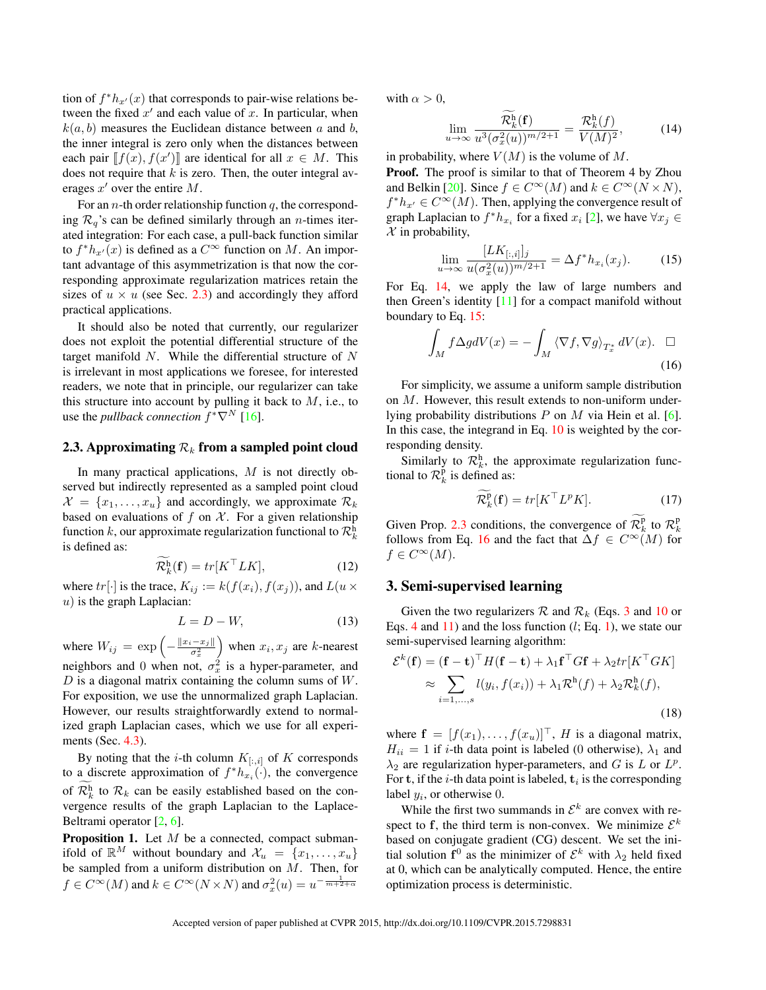<span id="page-3-7"></span>tion of  $f^*h_{x'}(x)$  that corresponds to pair-wise relations between the fixed  $x'$  and each value of  $x$ . In particular, when  $k(a, b)$  measures the Euclidean distance between a and b, the inner integral is zero only when the distances between each pair  $[[f(x), f(x')]$  are identical for all  $x \in M$ . This does not require that  $k$  is zero. Then, the outer integral averages  $x'$  over the entire  $M$ .

For an  $n$ -th order relationship function  $q$ , the corresponding  $\mathcal{R}_q$ 's can be defined similarly through an *n*-times iterated integration: For each case, a pull-back function similar to  $f^*h_{x'}(x)$  is defined as a  $C^{\infty}$  function on M. An important advantage of this asymmetrization is that now the corresponding approximate regularization matrices retain the sizes of  $u \times u$  (see Sec. [2.3\)](#page-3-0) and accordingly they afford practical applications.

It should also be noted that currently, our regularizer does not exploit the potential differential structure of the target manifold  $N$ . While the differential structure of  $N$ is irrelevant in most applications we foresee, for interested readers, we note that in principle, our regularizer can take this structure into account by pulling it back to  $M$ , i.e., to use the *pullback connection*  $f^*\nabla^N$  [\[16\]](#page-9-12).

#### <span id="page-3-0"></span>2.3. Approximating  $\mathcal{R}_k$  from a sampled point cloud

In many practical applications, M is not directly observed but indirectly represented as a sampled point cloud  $\mathcal{X} = \{x_1, \ldots, x_u\}$  and accordingly, we approximate  $\mathcal{R}_k$ based on evaluations of f on  $X$ . For a given relationship function  $k$ , our approximate regularization functional to  $\mathcal{R}_k^{\text{h}}$ is defined as:

$$
\widetilde{\mathcal{R}}_k^{\text{h}}(\mathbf{f}) = tr[K^{\top}LK],\tag{12}
$$

where  $tr[\cdot]$  is the trace,  $K_{ij} := k(f(x_i), f(x_j))$ , and  $L(u \times$  $u$ ) is the graph Laplacian:

$$
L = D - W,\t\t(13)
$$

where  $W_{ij} = \exp \left(-\frac{\|x_i - x_j\|}{\sigma_x^2}\right)$ ) when  $x_i, x_j$  are k-nearest neighbors and 0 when not,  $\sigma_x^2$  is a hyper-parameter, and  $D$  is a diagonal matrix containing the column sums of  $W$ . For exposition, we use the unnormalized graph Laplacian. However, our results straightforwardly extend to normalized graph Laplacian cases, which we use for all experiments (Sec. [4.3\)](#page-7-0).

By noting that the *i*-th column  $K_{[:,i]}$  of K corresponds to a discrete approximation of  $f^*h_{x_i}(\cdot)$ , the convergence of  $\mathcal{R}_k^h$  to  $\mathcal{R}_k$  can be easily established based on the convergence results of the graph Laplacian to the Laplace-Beltrami operator [\[2,](#page-9-11) [6\]](#page-9-17).

**Proposition 1.** Let  $M$  be a connected, compact submanifold of  $\mathbb{R}^M$  without boundary and  $\mathcal{X}_u = \{x_1, \ldots, x_u\}$ be sampled from a uniform distribution on  $M$ . Then, for  $f \in C^{\infty}(M)$  and  $k \in C^{\infty}(N \times N)$  and  $\sigma_x^2(u) = u^{-\frac{1}{m+2+\alpha}}$ 

with  $\alpha > 0$ ,

<span id="page-3-1"></span>
$$
\lim_{u \to \infty} \frac{\mathcal{R}_k^{\mathsf{h}}(\mathbf{f})}{u^3 (\sigma_x^2(u))^{m/2+1}} = \frac{\mathcal{R}_k^{\mathsf{h}}(f)}{V(M)^2},\tag{14}
$$

in probability, where  $V(M)$  is the volume of M.

Proof. The proof is similar to that of Theorem 4 by Zhou and Belkin [\[20\]](#page-9-14). Since  $f \in C^{\infty}(M)$  and  $k \in C^{\infty}(N \times N)$ ,  $f^*h_{x'} \in C^\infty(M)$ . Then, applying the convergence result of graph Laplacian to  $f^*h_{x_i}$  for a fixed  $x_i$  [\[2\]](#page-9-11), we have  $\forall x_j \in$  $\mathcal X$  in probability,

<span id="page-3-2"></span>
$$
\lim_{u \to \infty} \frac{[LK_{[:,i]}]_j}{u(\sigma_x^2(u))^{m/2+1}} = \Delta f^* h_{x_i}(x_j). \tag{15}
$$

For Eq. [14,](#page-3-1) we apply the law of large numbers and then Green's identity [\[11\]](#page-9-13) for a compact manifold without boundary to Eq. [15:](#page-3-2)

$$
\int_{M} f \Delta g dV(x) = -\int_{M} \langle \nabla f, \nabla g \rangle_{T_x^*} dV(x). \quad \Box
$$
\n(16)

For simplicity, we assume a uniform sample distribution on M. However, this result extends to non-uniform under-lying probability distributions P on M via Hein et al. [\[6\]](#page-9-17). In this case, the integrand in Eq.  $10$  is weighted by the corresponding density.

Similarly to  $\mathcal{R}_k^h$ , the approximate regularization functional to  $\mathcal{R}_k^{\mathfrak{p}}$  is defined as:

<span id="page-3-4"></span>
$$
\mathcal{R}_k^{\mathbf{p}}(\mathbf{f}) = tr[K^{\top} L^p K]. \tag{17}
$$

Given Prop. [2.3](#page-3-3) conditions, the convergence of  $\mathcal{R}_k^{\text{p}}$  to  $\mathcal{R}_k^{\text{p}}$  follows from Eq. [16](#page-3-4) and the fact that  $\Delta f \in C^{\infty}(M)$  for  $f \in C^{\infty}(M)$ .

#### <span id="page-3-6"></span>3. Semi-supervised learning

<span id="page-3-3"></span>Given the two regularizers  $\mathcal{R}$  and  $\mathcal{R}_k$  (Eqs. [3](#page-1-2) and [10](#page-2-3) or Eqs. [4](#page-1-3) and [11\)](#page-2-4) and the loss function  $(l; Eq. 1)$  $(l; Eq. 1)$ , we state our semi-supervised learning algorithm:

<span id="page-3-5"></span>
$$
\mathcal{E}^{k}(\mathbf{f}) = (\mathbf{f} - \mathbf{t})^{\top} H(\mathbf{f} - \mathbf{t}) + \lambda_1 \mathbf{f}^{\top} G \mathbf{f} + \lambda_2 tr[K^{\top} G K]
$$
  
\n
$$
\approx \sum_{i=1,\dots,s} l(y_i, f(x_i)) + \lambda_1 \mathcal{R}^{h}(f) + \lambda_2 \mathcal{R}^{h}_{k}(f),
$$
\n(18)

where  $f = [f(x_1), \ldots, f(x_u)]^\top$ , H is a diagonal matrix,  $H_{ii} = 1$  if *i*-th data point is labeled (0 otherwise),  $\lambda_1$  and  $\lambda_2$  are regularization hyper-parameters, and G is L or  $L^p$ . For **t**, if the *i*-th data point is labeled,  $\mathbf{t}_i$  is the corresponding label  $y_i$ , or otherwise 0.

While the first two summands in  $\mathcal{E}^k$  are convex with respect to f, the third term is non-convex. We minimize  $\mathcal{E}^k$ based on conjugate gradient (CG) descent. We set the initial solution  $f^0$  as the minimizer of  $\mathcal{E}^k$  with  $\lambda_2$  held fixed at 0, which can be analytically computed. Hence, the entire optimization process is deterministic.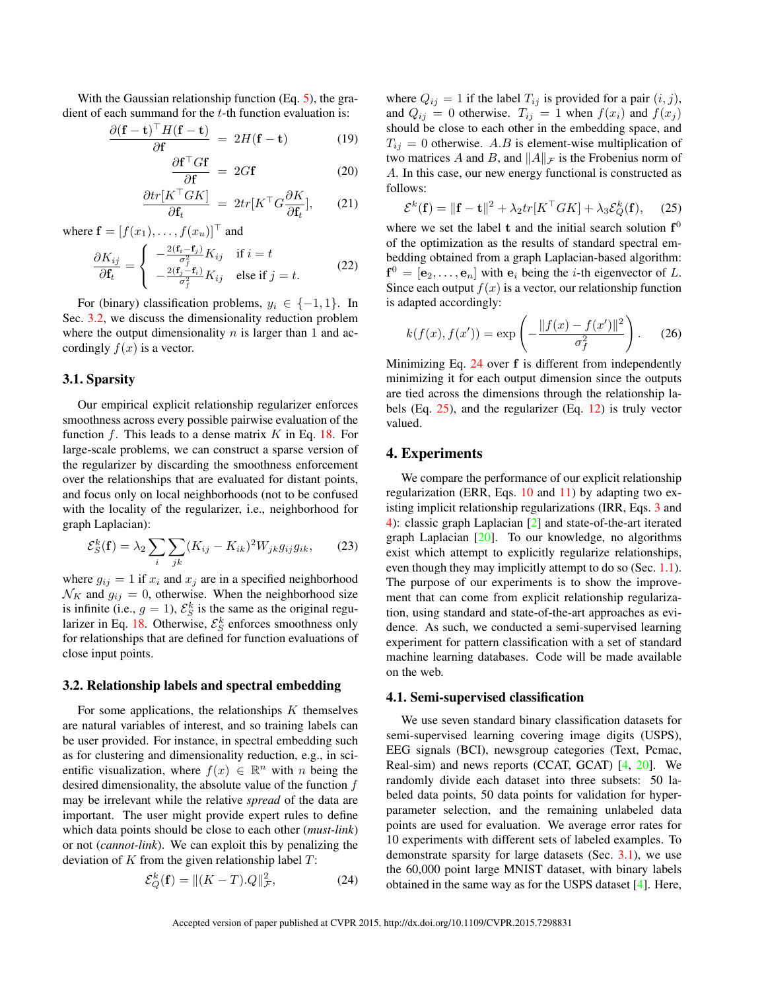<span id="page-4-7"></span>With the Gaussian relationship function (Eq. [5\)](#page-2-5), the gradient of each summand for the t-th function evaluation is:

$$
\frac{\partial(\mathbf{f} - \mathbf{t})^\top H(\mathbf{f} - \mathbf{t})}{\partial \mathbf{f}} = 2H(\mathbf{f} - \mathbf{t}) \tag{19}
$$

$$
\frac{\partial \mathbf{f}^\top G \mathbf{f}}{\partial \mathbf{f}} = 2G\mathbf{f} \tag{20}
$$

$$
\frac{\partial tr[K^{\top} G K]}{\partial \mathbf{f}_t} = 2tr[K^{\top} G \frac{\partial K}{\partial \mathbf{f}_t}], \quad (21)
$$

where  $\mathbf{f} = [f(x_1), \dots, f(x_u)]^\top$  and

$$
\frac{\partial K_{ij}}{\partial \mathbf{f}_t} = \begin{cases}\n-\frac{2(\mathbf{f}_i - \mathbf{f}_j)}{\sigma_j^2} K_{ij} & \text{if } i = t \\
-\frac{2(\mathbf{f}_j - \mathbf{f}_i)}{\sigma_j^2} K_{ij} & \text{else if } j = t.\n\end{cases}
$$
\n(22)

For (binary) classification problems,  $y_i \in \{-1, 1\}$ . In Sec. [3.2,](#page-4-0) we discuss the dimensionality reduction problem where the output dimensionality  $n$  is larger than 1 and accordingly  $f(x)$  is a vector.

### <span id="page-4-3"></span>3.1. Sparsity

Our empirical explicit relationship regularizer enforces smoothness across every possible pairwise evaluation of the function f. This leads to a dense matrix  $K$  in Eq. [18.](#page-3-5) For large-scale problems, we can construct a sparse version of the regularizer by discarding the smoothness enforcement over the relationships that are evaluated for distant points, and focus only on local neighborhoods (not to be confused with the locality of the regularizer, i.e., neighborhood for graph Laplacian):

$$
\mathcal{E}_S^k(\mathbf{f}) = \lambda_2 \sum_i \sum_{jk} (K_{ij} - K_{ik})^2 W_{jk} g_{ij} g_{ik},\qquad(23)
$$

where  $g_{ij} = 1$  if  $x_i$  and  $x_j$  are in a specified neighborhood  $\mathcal{N}_K$  and  $g_{ij} = 0$ , otherwise. When the neighborhood size is infinite (i.e.,  $g = 1$ ),  $\mathcal{E}_S^k$  is the same as the original regu-larizer in Eq. [18.](#page-3-5) Otherwise,  $\mathcal{E}_S^k$  enforces smoothness only for relationships that are defined for function evaluations of close input points.

### <span id="page-4-0"></span>3.2. Relationship labels and spectral embedding

For some applications, the relationships  $K$  themselves are natural variables of interest, and so training labels can be user provided. For instance, in spectral embedding such as for clustering and dimensionality reduction, e.g., in scientific visualization, where  $f(x) \in \mathbb{R}^n$  with n being the desired dimensionality, the absolute value of the function f may be irrelevant while the relative *spread* of the data are important. The user might provide expert rules to define which data points should be close to each other (*must-link*) or not (*cannot-link*). We can exploit this by penalizing the deviation of  $K$  from the given relationship label  $T$ :

$$
\mathcal{E}_Q^k(\mathbf{f}) = ||(K - T).Q||_{\mathcal{F}}^2,
$$
 (24)

where  $Q_{ij} = 1$  if the label  $T_{ij}$  is provided for a pair  $(i, j)$ , and  $Q_{ij} = 0$  otherwise.  $T_{ij} = 1$  when  $f(x_i)$  and  $f(x_j)$ should be close to each other in the embedding space, and  $T_{ij} = 0$  otherwise. A.B is element-wise multiplication of two matrices A and B, and  $||A||_{\mathcal{F}}$  is the Frobenius norm of A. In this case, our new energy functional is constructed as follows:

<span id="page-4-2"></span>
$$
\mathcal{E}^k(\mathbf{f}) = \|\mathbf{f} - \mathbf{t}\|^2 + \lambda_2 tr[K^\top G K] + \lambda_3 \mathcal{E}_Q^k(\mathbf{f}), \quad (25)
$$

where we set the label  $t$  and the initial search solution  $f^0$ of the optimization as the results of standard spectral embedding obtained from a graph Laplacian-based algorithm:  $f^0 = [e_2, \dots, e_n]$  with  $e_i$  being the *i*-th eigenvector of L. Since each output  $f(x)$  is a vector, our relationship function is adapted accordingly:

<span id="page-4-4"></span>
$$
k(f(x), f(x')) = \exp\left(-\frac{\|f(x) - f(x')\|^2}{\sigma_f^2}\right).
$$
 (26)

Minimizing Eq. [24](#page-4-1) over f is different from independently minimizing it for each output dimension since the outputs are tied across the dimensions through the relationship labels (Eq. [25\)](#page-4-2), and the regularizer (Eq. [12\)](#page-3-6) is truly vector valued.

### 4. Experiments

<span id="page-4-6"></span>We compare the performance of our explicit relationship regularization (ERR, Eqs. [10](#page-2-3) and [11\)](#page-2-4) by adapting two existing implicit relationship regularizations (IRR, Eqs. [3](#page-1-2) and [4\)](#page-1-3): classic graph Laplacian [\[2\]](#page-9-11) and state-of-the-art iterated graph Laplacian [\[20\]](#page-9-14). To our knowledge, no algorithms exist which attempt to explicitly regularize relationships, even though they may implicitly attempt to do so (Sec. [1.1\)](#page-1-5). The purpose of our experiments is to show the improvement that can come from explicit relationship regularization, using standard and state-of-the-art approaches as evidence. As such, we conducted a semi-supervised learning experiment for pattern classification with a set of standard machine learning databases. Code will be made available on the web.

#### <span id="page-4-5"></span>4.1. Semi-supervised classification

<span id="page-4-1"></span>We use seven standard binary classification datasets for semi-supervised learning covering image digits (USPS), EEG signals (BCI), newsgroup categories (Text, Pcmac, Real-sim) and news reports (CCAT, GCAT) [\[4,](#page-9-10) [20\]](#page-9-14). We randomly divide each dataset into three subsets: 50 labeled data points, 50 data points for validation for hyperparameter selection, and the remaining unlabeled data points are used for evaluation. We average error rates for 10 experiments with different sets of labeled examples. To demonstrate sparsity for large datasets (Sec. [3.1\)](#page-4-3), we use the 60,000 point large MNIST dataset, with binary labels obtained in the same way as for the USPS dataset [\[4\]](#page-9-10). Here,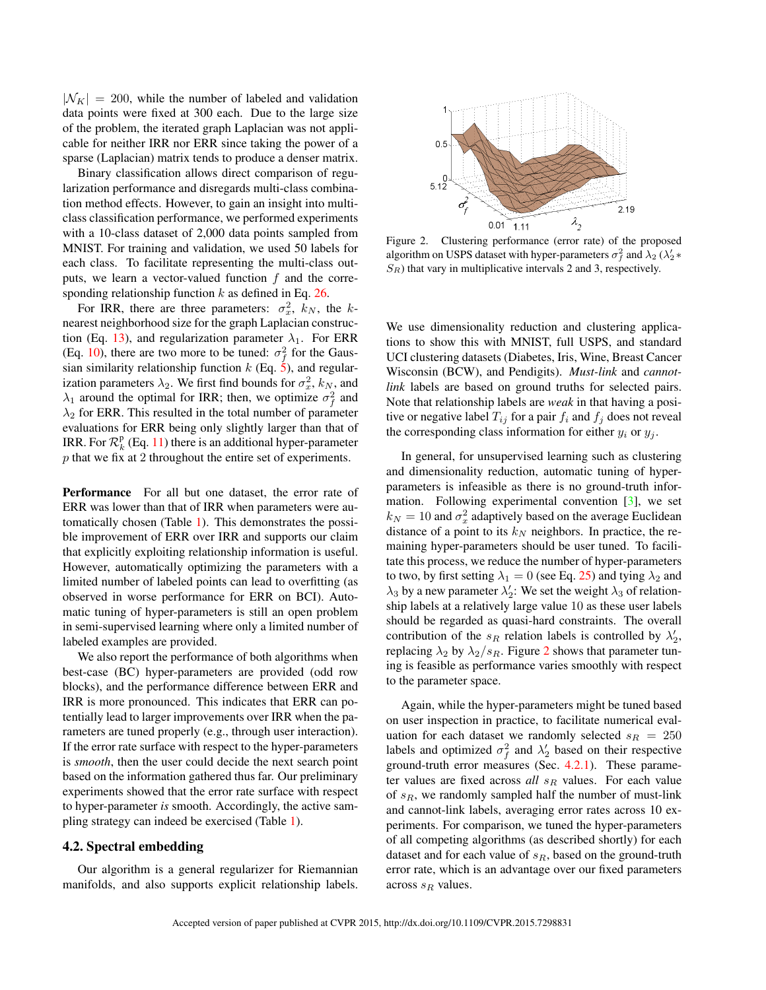<span id="page-5-2"></span> $|N_K| = 200$ , while the number of labeled and validation data points were fixed at 300 each. Due to the large size of the problem, the iterated graph Laplacian was not applicable for neither IRR nor ERR since taking the power of a sparse (Laplacian) matrix tends to produce a denser matrix.

Binary classification allows direct comparison of regularization performance and disregards multi-class combination method effects. However, to gain an insight into multiclass classification performance, we performed experiments with a 10-class dataset of 2,000 data points sampled from MNIST. For training and validation, we used 50 labels for each class. To facilitate representing the multi-class outputs, we learn a vector-valued function  $f$  and the corresponding relationship function  $k$  as defined in Eq. [26.](#page-4-4)

For IRR, there are three parameters:  $\sigma_x^2$ ,  $k_N$ , the knearest neighborhood size for the graph Laplacian construc-tion (Eq. [13\)](#page-3-3), and regularization parameter  $\lambda_1$ . For ERR (Eq. [10\)](#page-2-3), there are two more to be tuned:  $\sigma_f^2$  for the Gaussian similarity relationship function  $k$  (Eq. [5\)](#page-2-5), and regularization parameters  $\lambda_2$ . We first find bounds for  $\sigma_x^2$ ,  $k_N$ , and  $\lambda_1$  around the optimal for IRR; then, we optimize  $\sigma_f^2$  and  $\lambda_2$  for ERR. This resulted in the total number of parameter evaluations for ERR being only slightly larger than that of IRR. For  $\mathcal{R}_k^p$  (Eq. [11\)](#page-2-4) there is an additional hyper-parameter p that we fix at 2 throughout the entire set of experiments.

Performance For all but one dataset, the error rate of ERR was lower than that of IRR when parameters were automatically chosen (Table [1\)](#page-6-0). This demonstrates the possible improvement of ERR over IRR and supports our claim that explicitly exploiting relationship information is useful. However, automatically optimizing the parameters with a limited number of labeled points can lead to overfitting (as observed in worse performance for ERR on BCI). Automatic tuning of hyper-parameters is still an open problem in semi-supervised learning where only a limited number of labeled examples are provided.

We also report the performance of both algorithms when best-case (BC) hyper-parameters are provided (odd row blocks), and the performance difference between ERR and IRR is more pronounced. This indicates that ERR can potentially lead to larger improvements over IRR when the parameters are tuned properly (e.g., through user interaction). If the error rate surface with respect to the hyper-parameters is *smooth*, then the user could decide the next search point based on the information gathered thus far. Our preliminary experiments showed that the error rate surface with respect to hyper-parameter *is* smooth. Accordingly, the active sampling strategy can indeed be exercised (Table [1\)](#page-6-0).

#### <span id="page-5-1"></span>4.2. Spectral embedding

Our algorithm is a general regularizer for Riemannian manifolds, and also supports explicit relationship labels.



<span id="page-5-0"></span>Figure 2. Clustering performance (error rate) of the proposed algorithm on USPS dataset with hyper-parameters  $\sigma_f^2$  and  $\lambda_2$  ( $\lambda'_2$   $*$  $S_R$ ) that vary in multiplicative intervals 2 and 3, respectively.

We use dimensionality reduction and clustering applications to show this with MNIST, full USPS, and standard UCI clustering datasets (Diabetes, Iris, Wine, Breast Cancer Wisconsin (BCW), and Pendigits). *Must-link* and *cannotlink* labels are based on ground truths for selected pairs. Note that relationship labels are *weak* in that having a positive or negative label  $T_{ij}$  for a pair  $f_i$  and  $f_j$  does not reveal the corresponding class information for either  $y_i$  or  $y_j$ .

In general, for unsupervised learning such as clustering and dimensionality reduction, automatic tuning of hyperparameters is infeasible as there is no ground-truth information. Following experimental convention [\[3\]](#page-9-18), we set  $k_N = 10$  and  $\sigma_x^2$  adaptively based on the average Euclidean distance of a point to its  $k_N$  neighbors. In practice, the remaining hyper-parameters should be user tuned. To facilitate this process, we reduce the number of hyper-parameters to two, by first setting  $\lambda_1 = 0$  (see Eq. [25\)](#page-4-2) and tying  $\lambda_2$  and  $\lambda_3$  by a new parameter  $\lambda'_2$ : We set the weight  $\lambda_3$  of relationship labels at a relatively large value 10 as these user labels should be regarded as quasi-hard constraints. The overall contribution of the  $s_R$  relation labels is controlled by  $\lambda'_2$ , replacing  $\lambda_2$  $\lambda_2$  by  $\lambda_2/s_R$ . Figure 2 shows that parameter tuning is feasible as performance varies smoothly with respect to the parameter space.

Again, while the hyper-parameters might be tuned based on user inspection in practice, to facilitate numerical evaluation for each dataset we randomly selected  $s_R = 250$ labels and optimized  $\sigma_f^2$  and  $\lambda'_2$  based on their respective ground-truth error measures (Sec. [4.2.1\)](#page-6-1). These parameter values are fixed across  $all \, s_R$  values. For each value of  $s_R$ , we randomly sampled half the number of must-link and cannot-link labels, averaging error rates across 10 experiments. For comparison, we tuned the hyper-parameters of all competing algorithms (as described shortly) for each dataset and for each value of  $s_R$ , based on the ground-truth error rate, which is an advantage over our fixed parameters across  $s_R$  values.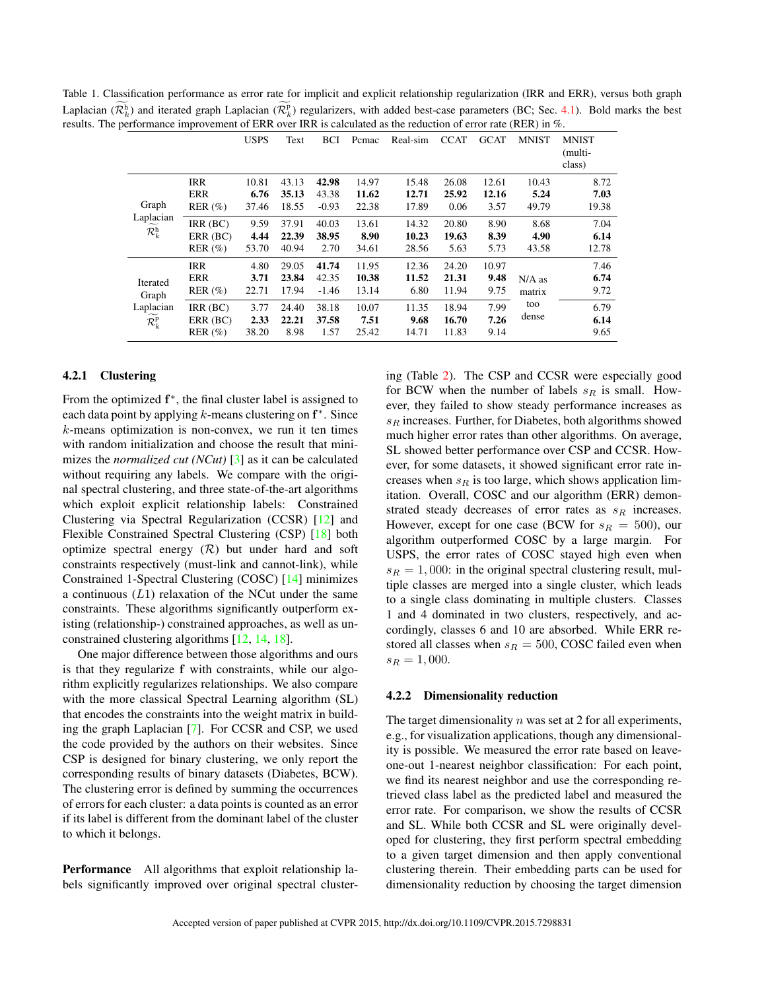<span id="page-6-2"></span><span id="page-6-0"></span>Table 1. Classification performance as error rate for implicit and explicit relationship regularization (IRR and ERR), versus both graph Laplacian ( $\mathcal{R}_k^h$ ) and iterated graph Laplacian ( $\mathcal{R}_k^p$ ) regularizers, with added best-case parameters (BC; Sec. [4.1\)](#page-4-5). Bold marks the best results. The performance improvement of ERR over IRR is calculated as the reduction of error rate (RER) in %.

|                                                              |                                         | <b>USPS</b>            | Text                    | <b>BCI</b>                | Pcmac                   | Real-sim                | <b>CCAT</b>             | <b>GCAT</b>            | <b>MNIST</b>                       | <b>MNIST</b><br>(multi-<br>class) |
|--------------------------------------------------------------|-----------------------------------------|------------------------|-------------------------|---------------------------|-------------------------|-------------------------|-------------------------|------------------------|------------------------------------|-----------------------------------|
| Graph<br>Laplacian<br>$\mathcal{R}_k^{\text{h}}$             | <b>IRR</b><br><b>ERR</b><br>RER(%)      | 10.81<br>6.76<br>37.46 | 43.13<br>35.13<br>18.55 | 42.98<br>43.38<br>$-0.93$ | 14.97<br>11.62<br>22.38 | 15.48<br>12.71<br>17.89 | 26.08<br>25.92<br>0.06  | 12.61<br>12.16<br>3.57 | 10.43<br>5.24<br>49.79             | 8.72<br>7.03<br>19.38             |
|                                                              | IRR(BC)<br>$ERR$ ( $BC$ )<br>RER $(\%)$ | 9.59<br>4.44<br>53.70  | 37.91<br>22.39<br>40.94 | 40.03<br>38.95<br>2.70    | 13.61<br>8.90<br>34.61  | 14.32<br>10.23<br>28.56 | 20.80<br>19.63<br>5.63  | 8.90<br>8.39<br>5.73   | 8.68<br>4.90<br>43.58              | 7.04<br>6.14<br>12.78             |
| Iterated<br>Graph<br>Laplacian<br>$\mathcal{R}_k^{\text{p}}$ | <b>IRR</b><br>ERR<br>RER $(\%)$         | 4.80<br>3.71<br>22.71  | 29.05<br>23.84<br>17.94 | 41.74<br>42.35<br>$-1.46$ | 11.95<br>10.38<br>13.14 | 12.36<br>11.52<br>6.80  | 24.20<br>21.31<br>11.94 | 10.97<br>9.48<br>9.75  | $N/A$ as<br>matrix<br>too<br>dense | 7.46<br>6.74<br>9.72              |
|                                                              | IRR (BC)<br>ERR (BC)<br>RER $(\%)$      | 3.77<br>2.33<br>38.20  | 24.40<br>22.21<br>8.98  | 38.18<br>37.58<br>1.57    | 10.07<br>7.51<br>25.42  | 11.35<br>9.68<br>14.71  | 18.94<br>16.70<br>11.83 | 7.99<br>7.26<br>9.14   |                                    | 6.79<br>6.14<br>9.65              |

### <span id="page-6-1"></span>4.2.1 Clustering

From the optimized  $f^*$ , the final cluster label is assigned to each data point by applying  $k$ -means clustering on  $f^*$ . Since  $k$ -means optimization is non-convex, we run it ten times with random initialization and choose the result that minimizes the *normalized cut (NCut)* [\[3\]](#page-9-18) as it can be calculated without requiring any labels. We compare with the original spectral clustering, and three state-of-the-art algorithms which exploit explicit relationship labels: Constrained Clustering via Spectral Regularization (CCSR) [\[12\]](#page-9-7) and Flexible Constrained Spectral Clustering (CSP) [\[18\]](#page-9-9) both optimize spectral energy  $(R)$  but under hard and soft constraints respectively (must-link and cannot-link), while Constrained 1-Spectral Clustering (COSC) [\[14\]](#page-9-8) minimizes a continuous  $(L1)$  relaxation of the NCut under the same constraints. These algorithms significantly outperform existing (relationship-) constrained approaches, as well as unconstrained clustering algorithms [\[12,](#page-9-7) [14,](#page-9-8) [18\]](#page-9-9).

One major difference between those algorithms and ours is that they regularize f with constraints, while our algorithm explicitly regularizes relationships. We also compare with the more classical Spectral Learning algorithm (SL) that encodes the constraints into the weight matrix in building the graph Laplacian [\[7\]](#page-9-19). For CCSR and CSP, we used the code provided by the authors on their websites. Since CSP is designed for binary clustering, we only report the corresponding results of binary datasets (Diabetes, BCW). The clustering error is defined by summing the occurrences of errors for each cluster: a data points is counted as an error if its label is different from the dominant label of the cluster to which it belongs.

Performance All algorithms that exploit relationship labels significantly improved over original spectral clustering (Table [2\)](#page-7-1). The CSP and CCSR were especially good for BCW when the number of labels  $s_R$  is small. However, they failed to show steady performance increases as  $s_R$  increases. Further, for Diabetes, both algorithms showed much higher error rates than other algorithms. On average, SL showed better performance over CSP and CCSR. However, for some datasets, it showed significant error rate increases when  $s_R$  is too large, which shows application limitation. Overall, COSC and our algorithm (ERR) demonstrated steady decreases of error rates as  $s_R$  increases. However, except for one case (BCW for  $s_R = 500$ ), our algorithm outperformed COSC by a large margin. For USPS, the error rates of COSC stayed high even when  $s_R = 1,000$ : in the original spectral clustering result, multiple classes are merged into a single cluster, which leads to a single class dominating in multiple clusters. Classes 1 and 4 dominated in two clusters, respectively, and accordingly, classes 6 and 10 are absorbed. While ERR restored all classes when  $s_R = 500$ , COSC failed even when  $s_R = 1,000.$ 

#### 4.2.2 Dimensionality reduction

The target dimensionality  $n$  was set at 2 for all experiments, e.g., for visualization applications, though any dimensionality is possible. We measured the error rate based on leaveone-out 1-nearest neighbor classification: For each point, we find its nearest neighbor and use the corresponding retrieved class label as the predicted label and measured the error rate. For comparison, we show the results of CCSR and SL. While both CCSR and SL were originally developed for clustering, they first perform spectral embedding to a given target dimension and then apply conventional clustering therein. Their embedding parts can be used for dimensionality reduction by choosing the target dimension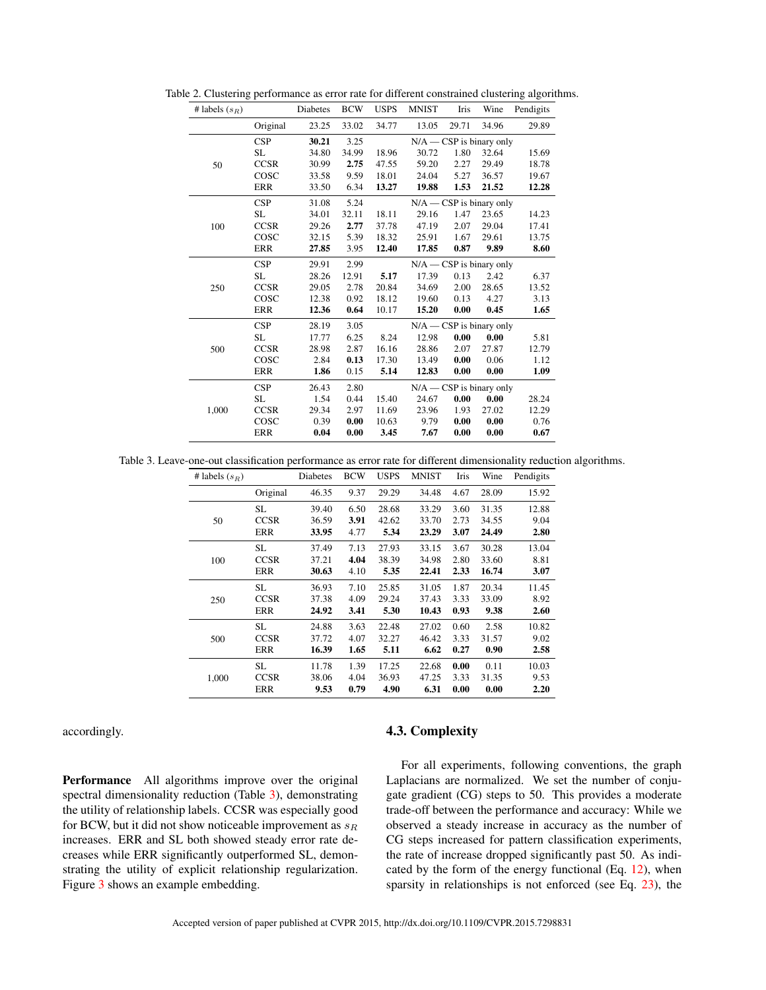<span id="page-7-1"></span>

| # labels $(s_R)$ |             | Diabetes                                    | <b>BCW</b> | <b>USPS</b>                | <b>MNIST</b>               | Iris  | Wine  | Pendigits |  |
|------------------|-------------|---------------------------------------------|------------|----------------------------|----------------------------|-------|-------|-----------|--|
|                  | Original    | 23.25                                       | 33.02      | 34.77                      | 13.05                      | 29.71 | 34.96 | 29.89     |  |
|                  | CSP         | 30.21<br>3.25<br>$N/A$ — CSP is binary only |            |                            |                            |       |       |           |  |
|                  | SL.         | 34.80                                       | 34.99      | 18.96                      | 30.72                      | 1.80  | 32.64 | 15.69     |  |
| 50               | <b>CCSR</b> | 30.99                                       | 2.75       | 47.55                      | 59.20                      | 2.27  | 29.49 | 18.78     |  |
|                  | COSC        | 33.58                                       | 9.59       | 18.01                      | 24.04                      | 5.27  | 36.57 | 19.67     |  |
|                  | <b>ERR</b>  | 33.50                                       | 6.34       | 13.27                      | 19.88                      | 1.53  | 21.52 | 12.28     |  |
|                  | CSP         | 31.08                                       | 5.24       | $N/A$ — CSP is binary only |                            |       |       |           |  |
|                  | SL          | 34.01                                       | 32.11      | 18.11                      | 29.16                      | 1.47  | 23.65 | 14.23     |  |
| 100              | <b>CCSR</b> | 29.26                                       | 2.77       | 37.78                      | 47.19                      | 2.07  | 29.04 | 17.41     |  |
|                  | COSC        | 32.15                                       | 5.39       | 18.32                      | 25.91                      | 1.67  | 29.61 | 13.75     |  |
|                  | <b>ERR</b>  | 27.85                                       | 3.95       | 12.40                      | 17.85                      | 0.87  | 9.89  | 8.60      |  |
|                  | CSP         | 29.91                                       | 2.99       | $N/A$ — CSP is binary only |                            |       |       |           |  |
|                  | SL          | 28.26                                       | 12.91      | 5.17                       | 17.39                      | 0.13  | 2.42  | 6.37      |  |
| 250              | <b>CCSR</b> | 29.05                                       | 2.78       | 20.84                      | 34.69                      | 2.00  | 28.65 | 13.52     |  |
|                  | COSC        | 12.38                                       | 0.92       | 18.12                      | 19.60                      | 0.13  | 4.27  | 3.13      |  |
|                  | <b>ERR</b>  | 12.36                                       | 0.64       | 10.17                      | 15.20                      | 0.00  | 0.45  | 1.65      |  |
|                  | CSP         | 28.19                                       | 3.05       |                            | $N/A$ — CSP is binary only |       |       |           |  |
|                  | SL.         | 17.77                                       | 6.25       | 8.24                       | 12.98                      | 0.00  | 0.00  | 5.81      |  |
| 500              | <b>CCSR</b> | 28.98                                       | 2.87       | 16.16                      | 28.86                      | 2.07  | 27.87 | 12.79     |  |
|                  | COSC        | 2.84                                        | 0.13       | 17.30                      | 13.49                      | 0.00  | 0.06  | 1.12      |  |
|                  | <b>ERR</b>  | 1.86                                        | 0.15       | 5.14                       | 12.83                      | 0.00  | 0.00  | 1.09      |  |
|                  | CSP         | 26.43                                       | 2.80       | $N/A$ — CSP is binary only |                            |       |       |           |  |
|                  | SL.         | 1.54                                        | 0.44       | 15.40                      | 24.67                      | 0.00  | 0.00  | 28.24     |  |
| 1,000            | <b>CCSR</b> | 29.34                                       | 2.97       | 11.69                      | 23.96                      | 1.93  | 27.02 | 12.29     |  |
|                  | COSC        | 0.39                                        | 0.00       | 10.63                      | 9.79                       | 0.00  | 0.00  | 0.76      |  |
|                  | <b>ERR</b>  | 0.04                                        | 0.00       | 3.45                       | 7.67                       | 0.00  | 0.00  | 0.67      |  |

Table 2. Clustering performance as error rate for different constrained clustering algorithms.

Table 3. Leave-one-out classification performance as error rate for different dimensionality reduction algorithms.

<span id="page-7-2"></span>

| # labels $(s_B)$ |             | Diabetes | <b>BCW</b> | <b>USPS</b> | <b>MNIST</b> | Iris | Wine  | Pendigits |
|------------------|-------------|----------|------------|-------------|--------------|------|-------|-----------|
|                  | Original    | 46.35    | 9.37       | 29.29       | 34.48        | 4.67 | 28.09 | 15.92     |
|                  | SL          | 39.40    | 6.50       | 28.68       | 33.29        | 3.60 | 31.35 | 12.88     |
| 50               | <b>CCSR</b> | 36.59    | 3.91       | 42.62       | 33.70        | 2.73 | 34.55 | 9.04      |
|                  | ERR         | 33.95    | 4.77       | 5.34        | 23.29        | 3.07 | 24.49 | 2.80      |
|                  | SL          | 37.49    | 7.13       | 27.93       | 33.15        | 3.67 | 30.28 | 13.04     |
| 100              | <b>CCSR</b> | 37.21    | 4.04       | 38.39       | 34.98        | 2.80 | 33.60 | 8.81      |
|                  | <b>ERR</b>  | 30.63    | 4.10       | 5.35        | 22.41        | 2.33 | 16.74 | 3.07      |
|                  | SL          | 36.93    | 7.10       | 25.85       | 31.05        | 1.87 | 20.34 | 11.45     |
| 250              | <b>CCSR</b> | 37.38    | 4.09       | 29.24       | 37.43        | 3.33 | 33.09 | 8.92      |
|                  | ERR         | 24.92    | 3.41       | 5.30        | 10.43        | 0.93 | 9.38  | 2.60      |
|                  | SL          | 24.88    | 3.63       | 22.48       | 27.02        | 0.60 | 2.58  | 10.82     |
| 500              | <b>CCSR</b> | 37.72    | 4.07       | 32.27       | 46.42        | 3.33 | 31.57 | 9.02      |
|                  | ERR         | 16.39    | 1.65       | 5.11        | 6.62         | 0.27 | 0.90  | 2.58      |
|                  | SL          | 11.78    | 1.39       | 17.25       | 22.68        | 0.00 | 0.11  | 10.03     |
| 1,000            | <b>CCSR</b> | 38.06    | 4.04       | 36.93       | 47.25        | 3.33 | 31.35 | 9.53      |
|                  | ERR         | 9.53     | 0.79       | 4.90        | 6.31         | 0.00 | 0.00  | 2.20      |

accordingly.

Performance All algorithms improve over the original spectral dimensionality reduction (Table [3\)](#page-7-2), demonstrating the utility of relationship labels. CCSR was especially good for BCW, but it did not show noticeable improvement as  $s_R$ increases. ERR and SL both showed steady error rate decreases while ERR significantly outperformed SL, demonstrating the utility of explicit relationship regularization. Figure [3](#page-8-0) shows an example embedding.

# <span id="page-7-0"></span>4.3. Complexity

For all experiments, following conventions, the graph Laplacians are normalized. We set the number of conjugate gradient (CG) steps to 50. This provides a moderate trade-off between the performance and accuracy: While we observed a steady increase in accuracy as the number of CG steps increased for pattern classification experiments, the rate of increase dropped significantly past 50. As indicated by the form of the energy functional (Eq. [12\)](#page-3-6), when sparsity in relationships is not enforced (see Eq. [23\)](#page-4-6), the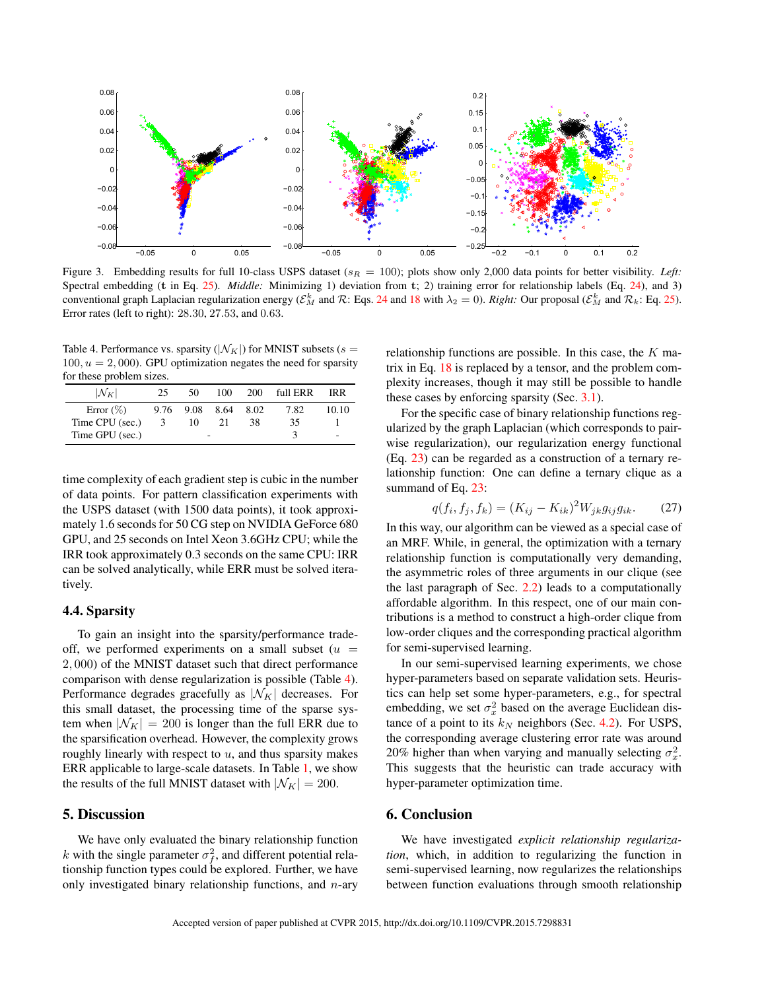

<span id="page-8-0"></span>Figure 3. Embedding results for full 10-class USPS dataset ( $s_R = 100$ ); plots show only 2,000 data points for better visibility. *Left:* Spectral embedding (t in Eq. [25\)](#page-4-2). *Middle:* Minimizing 1) deviation from t; 2) training error for relationship labels (Eq. [24\)](#page-4-1), and 3) conventional graph Laplacian regularization energy ( $\mathcal{E}_M^k$  and  $\mathcal{R}$ : Eqs. [24](#page-4-1) and [18](#page-3-5) with  $\lambda_2 = 0$ ). *Right:* Our proposal ( $\mathcal{E}_M^k$  and  $\mathcal{R}_k$ : Eq. [25\)](#page-4-2). Error rates (left to right): 28.30, 27.53, and 0.63.

<span id="page-8-1"></span>Table 4. Performance vs. sparsity ( $|\mathcal{N}_K|$ ) for MNIST subsets (s =  $100, u = 2,000$ . GPU optimization negates the need for sparsity for these problem sizes.

| $ \mathcal{N}_K $ | 25   | 50   | 100  | 200  | full ERR | <b>IRR</b> |
|-------------------|------|------|------|------|----------|------------|
| Error $(\%)$      | 9.76 | 9.08 | 8.64 | 8.02 | 7.82     | 10.10      |
| Time CPU (sec.)   | 3    | 10   | 21   | 38   | 35       |            |
| Time GPU (sec.)   |      |      | -    |      | ۰        |            |

time complexity of each gradient step is cubic in the number of data points. For pattern classification experiments with the USPS dataset (with 1500 data points), it took approximately 1.6 seconds for 50 CG step on NVIDIA GeForce 680 GPU, and 25 seconds on Intel Xeon 3.6GHz CPU; while the IRR took approximately 0.3 seconds on the same CPU: IRR can be solved analytically, while ERR must be solved iteratively.

# 4.4. Sparsity

To gain an insight into the sparsity/performance tradeoff, we performed experiments on a small subset ( $u =$ 2, 000) of the MNIST dataset such that direct performance comparison with dense regularization is possible (Table [4\)](#page-8-1). Performance degrades gracefully as  $|\mathcal{N}_K|$  decreases. For this small dataset, the processing time of the sparse system when  $|\mathcal{N}_K| = 200$  is longer than the full ERR due to the sparsification overhead. However, the complexity grows roughly linearly with respect to  $u$ , and thus sparsity makes ERR applicable to large-scale datasets. In Table [1,](#page-6-0) we show the results of the full MNIST dataset with  $|\mathcal{N}_K| = 200$ .

### 5. Discussion

We have only evaluated the binary relationship function k with the single parameter  $\sigma_f^2$ , and different potential relationship function types could be explored. Further, we have only investigated binary relationship functions, and  $n$ -ary relationship functions are possible. In this case, the  $K$  matrix in Eq. [18](#page-3-5) is replaced by a tensor, and the problem complexity increases, though it may still be possible to handle these cases by enforcing sparsity (Sec.  $3.1$ ).

For the specific case of binary relationship functions regularized by the graph Laplacian (which corresponds to pairwise regularization), our regularization energy functional (Eq. [23\)](#page-4-6) can be regarded as a construction of a ternary relationship function: One can define a ternary clique as a summand of Eq. [23:](#page-4-6)

$$
q(f_i, f_j, f_k) = (K_{ij} - K_{ik})^2 W_{jk} g_{ij} g_{ik}.
$$
 (27)

In this way, our algorithm can be viewed as a special case of an MRF. While, in general, the optimization with a ternary relationship function is computationally very demanding, the asymmetric roles of three arguments in our clique (see the last paragraph of Sec. [2.2\)](#page-2-0) leads to a computationally affordable algorithm. In this respect, one of our main contributions is a method to construct a high-order clique from low-order cliques and the corresponding practical algorithm for semi-supervised learning.

In our semi-supervised learning experiments, we chose hyper-parameters based on separate validation sets. Heuristics can help set some hyper-parameters, e.g., for spectral embedding, we set  $\sigma_x^2$  based on the average Euclidean distance of a point to its  $k_N$  neighbors (Sec. [4.2\)](#page-5-1). For USPS, the corresponding average clustering error rate was around 20% higher than when varying and manually selecting  $\sigma_x^2$ . This suggests that the heuristic can trade accuracy with hyper-parameter optimization time.

#### 6. Conclusion

We have investigated *explicit relationship regularization*, which, in addition to regularizing the function in semi-supervised learning, now regularizes the relationships between function evaluations through smooth relationship